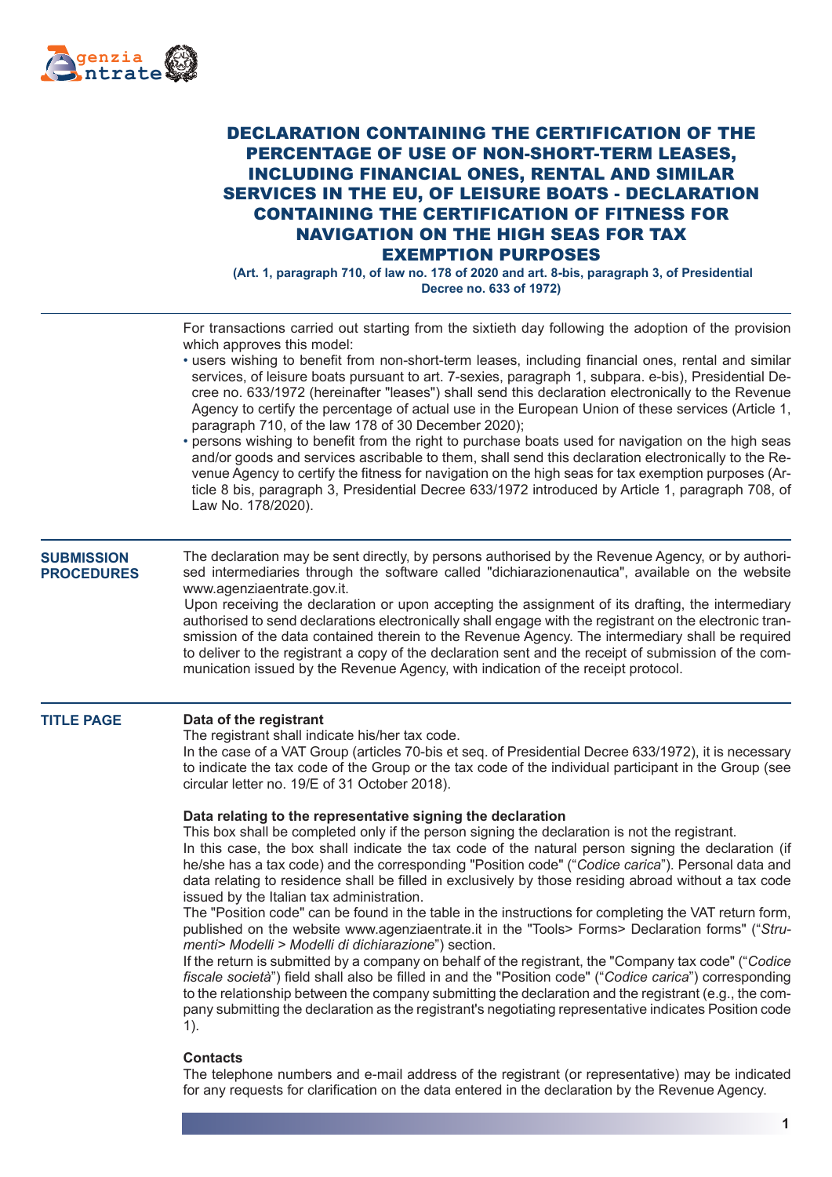

| <b>DECLARATION CONTAINING THE CERTIFICATION OF THE</b>    |
|-----------------------------------------------------------|
| PERCENTAGE OF USE OF NON-SHORT-TERM LEASES,               |
| <b>INCLUDING FINANCIAL ONES, RENTAL AND SIMILAR</b>       |
| <b>SERVICES IN THE EU, OF LEISURE BOATS - DECLARATION</b> |
| <b>CONTAINING THE CERTIFICATION OF FITNESS FOR</b>        |
| <b>NAVIGATION ON THE HIGH SEAS FOR TAX</b>                |
| <b>EXEMPTION PURPOSES</b>                                 |

 **(Art. 1, paragraph 710, of law no. 178 of 2020 and art. 8-bis, paragraph 3, of Presidential Decree no. 633 of 1972)**

For transactions carried out starting from the sixtieth day following the adoption of the provision which approves this model:

- users wishing to benefit from non-short-term leases, including financial ones, rental and similar services, of leisure boats pursuant to art. 7-sexies, paragraph 1, subpara. e-bis), Presidential Decree no. 633/1972 (hereinafter "leases") shall send this declaration electronically to the Revenue Agency to certify the percentage of actual use in the European Union of these services (Article 1, paragraph 710, of the law 178 of 30 December 2020);
- persons wishing to benefit from the right to purchase boats used for navigation on the high seas and/or goods and services ascribable to them, shall send this declaration electronically to the Revenue Agency to certify the fitness for navigation on the high seas for tax exemption purposes (Article 8 bis, paragraph 3, Presidential Decree 633/1972 introduced by Article 1, paragraph 708, of Law No. 178/2020).

#### **SUBMISSION PROCEDURES**

The declaration may be sent directly, by persons authorised by the Revenue Agency, or by authorised intermediaries through the software called "dichiarazionenautica", available on the website www.agenziaentrate.gov.it.

 Upon receiving the declaration or upon accepting the assignment of its drafting, the intermediary authorised to send declarations electronically shall engage with the registrant on the electronic transmission of the data contained therein to the Revenue Agency. The intermediary shall be required to deliver to the registrant a copy of the declaration sent and the receipt of submission of the communication issued by the Revenue Agency, with indication of the receipt protocol.

#### **Data of the registrant TITLE PAGE**

The registrant shall indicate his/her tax code.

In the case of a VAT Group (articles 70-bis et seq. of Presidential Decree 633/1972), it is necessary to indicate the tax code of the Group or the tax code of the individual participant in the Group (see circular letter no. 19/E of 31 October 2018).

# **Data relating to the representative signing the declaration**

This box shall be completed only if the person signing the declaration is not the registrant.

In this case, the box shall indicate the tax code of the natural person signing the declaration (if he/she has a tax code) and the corresponding "Position code" ("*Codice carica*"). Personal data and data relating to residence shall be filled in exclusively by those residing abroad without a tax code issued by the Italian tax administration.

The "Position code" can be found in the table in the instructions for completing the VAT return form, published on the website www.agenziaentrate.it in the "Tools> Forms> Declaration forms" ("*Strumenti> Modelli > Modelli di dichiarazione*") section.

If the return is submitted by a company on behalf of the registrant, the "Company tax code" ("*Codice fiscale società*") field shall also be filled in and the "Position code" ("*Codice carica*") corresponding to the relationship between the company submitting the declaration and the registrant (e.g., the company submitting the declaration as the registrant's negotiating representative indicates Position code 1).

## **Contacts**

The telephone numbers and e-mail address of the registrant (or representative) may be indicated for any requests for clarification on the data entered in the declaration by the Revenue Agency.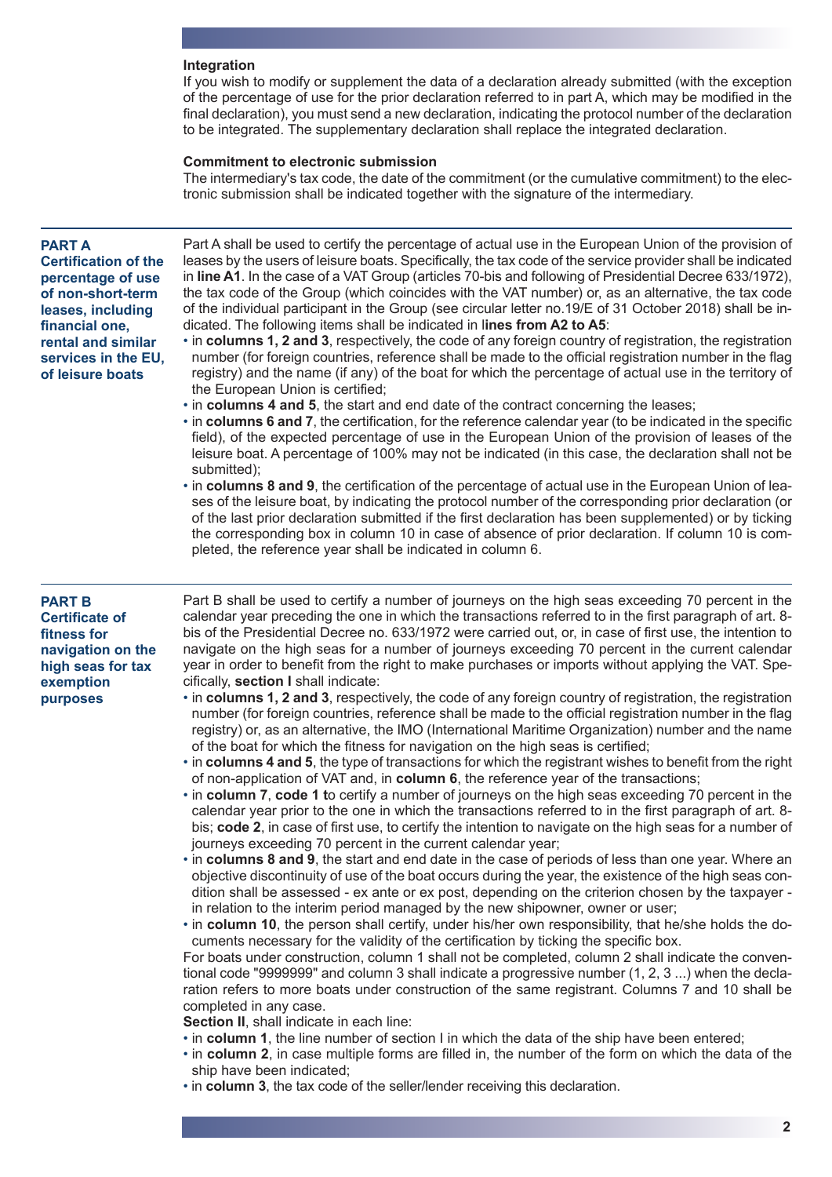#### **Integration**

If you wish to modify or supplement the data of a declaration already submitted (with the exception of the percentage of use for the prior declaration referred to in part A, which may be modified in the final declaration), you must send a new declaration, indicating the protocol number of the declaration to be integrated. The supplementary declaration shall replace the integrated declaration.

## **Commitment to electronic submission**

The intermediary's tax code, the date of the commitment (or the cumulative commitment) to the electronic submission shall be indicated together with the signature of the intermediary.

### **PART A**

**Certification of the percentage of use of non-short-term leases, including financial one, rental and similar services in the EU, of leisure boats**

Part A shall be used to certify the percentage of actual use in the European Union of the provision of leases by the users of leisure boats. Specifically, the tax code of the service provider shall be indicated in **line A1**. In the case of a VAT Group (articles 70-bis and following of Presidential Decree 633/1972), the tax code of the Group (which coincides with the VAT number) or, as an alternative, the tax code of the individual participant in the Group (see circular letter no.19/E of 31 October 2018) shall be indicated. The following items shall be indicated in l**ines from A2 to A5**:

- in **columns 1, 2 and 3**, respectively, the code of any foreign country of registration, the registration number (for foreign countries, reference shall be made to the official registration number in the flag registry) and the name (if any) of the boat for which the percentage of actual use in the territory of the European Union is certified;
- in **columns 4 and 5**, the start and end date of the contract concerning the leases;
- in **columns 6 and 7**, the certification, for the reference calendar year (to be indicated in the specific field), of the expected percentage of use in the European Union of the provision of leases of the leisure boat. A percentage of 100% may not be indicated (in this case, the declaration shall not be submitted);
- in **columns 8 and 9**, the certification of the percentage of actual use in the European Union of leases of the leisure boat, by indicating the protocol number of the corresponding prior declaration (or of the last prior declaration submitted if the first declaration has been supplemented) or by ticking the corresponding box in column 10 in case of absence of prior declaration. If column 10 is completed, the reference year shall be indicated in column 6.

## **PART B Certificate of fitness for navigation on the high seas for tax exemption purposes**

Part B shall be used to certify a number of journeys on the high seas exceeding 70 percent in the calendar year preceding the one in which the transactions referred to in the first paragraph of art. 8 bis of the Presidential Decree no. 633/1972 were carried out, or, in case of first use, the intention to navigate on the high seas for a number of journeys exceeding 70 percent in the current calendar year in order to benefit from the right to make purchases or imports without applying the VAT. Specifically, **section I** shall indicate:

- in **columns 1, 2 and 3**, respectively, the code of any foreign country of registration, the registration number (for foreign countries, reference shall be made to the official registration number in the flag registry) or, as an alternative, the IMO (International Maritime Organization) number and the name of the boat for which the fitness for navigation on the high seas is certified;
- in **columns 4 and 5**, the type of transactions for which the registrant wishes to benefit from the right of non-application of VAT and, in **column 6**, the reference year of the transactions;
- in **column 7**, **code 1 t**o certify a number of journeys on the high seas exceeding 70 percent in the calendar year prior to the one in which the transactions referred to in the first paragraph of art. 8 bis; **code 2**, in case of first use, to certify the intention to navigate on the high seas for a number of journeys exceeding 70 percent in the current calendar year;
- in **columns 8 and 9**, the start and end date in the case of periods of less than one year. Where an objective discontinuity of use of the boat occurs during the year, the existence of the high seas condition shall be assessed - ex ante or ex post, depending on the criterion chosen by the taxpayer in relation to the interim period managed by the new shipowner, owner or user;
- in **column 10**, the person shall certify, under his/her own responsibility, that he/she holds the documents necessary for the validity of the certification by ticking the specific box.

For boats under construction, column 1 shall not be completed, column 2 shall indicate the conventional code "9999999" and column 3 shall indicate a progressive number (1, 2, 3 ...) when the declaration refers to more boats under construction of the same registrant. Columns 7 and 10 shall be completed in any case.

**Section II**, shall indicate in each line:

- in **column 1**, the line number of section I in which the data of the ship have been entered;
- in **column 2**, in case multiple forms are filled in, the number of the form on which the data of the ship have been indicated;
- in **column 3**, the tax code of the seller/lender receiving this declaration.